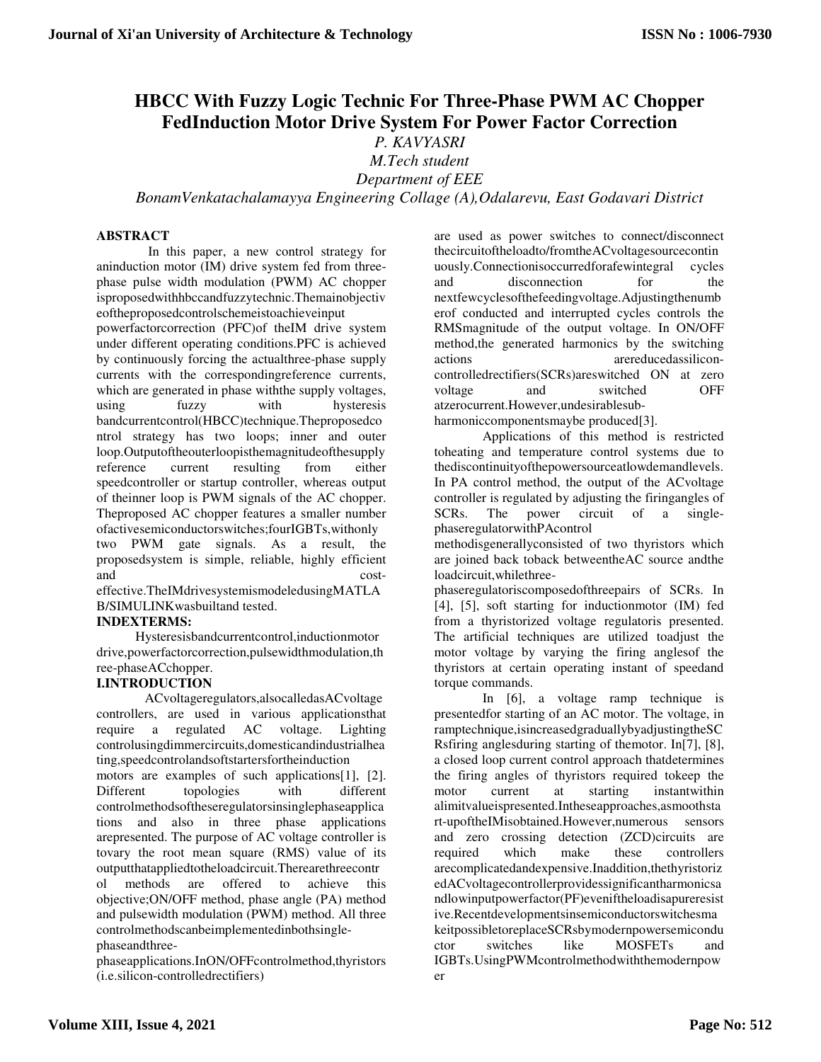# **HBCC With Fuzzy Logic Technic For Three-Phase PWM AC Chopper FedInduction Motor Drive System For Power Factor Correction**

*P. KAVYASRI* 

*M.Tech student Department of EEE* 

*BonamVenkatachalamayya Engineering Collage (A),Odalarevu, East Godavari District* 

## **ABSTRACT**

In this paper, a new control strategy for aninduction motor (IM) drive system fed from threephase pulse width modulation (PWM) AC chopper isproposedwithhbccandfuzzytechnic.Themainobjectiv eoftheproposedcontrolschemeistoachieveinput powerfactorcorrection (PFC)of theIM drive system under different operating conditions.PFC is achieved by continuously forcing the actualthree-phase supply currents with the correspondingreference currents, which are generated in phase withthe supply voltages, using fuzzy with hysteresis bandcurrentcontrol(HBCC)technique.Theproposedco ntrol strategy has two loops; inner and outer loop.Outputoftheouterloopisthemagnitudeofthesupply reference current resulting from either speedcontroller or startup controller, whereas output of theinner loop is PWM signals of the AC chopper. Theproposed AC chopper features a smaller number ofactivesemiconductorswitches;fourIGBTs,withonly two PWM gate signals. As a result, the proposedsystem is simple, reliable, highly efficient and cost-

effective.TheIMdrivesystemismodeledusingMATLA B/SIMULINKwasbuiltand tested.

# **INDEXTERMS:**

Hysteresisbandcurrentcontrol,inductionmotor drive,powerfactorcorrection,pulsewidthmodulation,th ree-phaseACchopper.

# **I.INTRODUCTION**

ACvoltageregulators,alsocalledasACvoltage controllers, are used in various applicationsthat require a regulated AC voltage. Lighting controlusingdimmercircuits,domesticandindustrialhea ting,speedcontrolandsoftstartersfortheinduction motors are examples of such applications[1], [2]. Different topologies with different controlmethodsoftheseregulatorsinsinglephaseapplica tions and also in three phase applications arepresented. The purpose of AC voltage controller is tovary the root mean square (RMS) value of its outputthatappliedtotheloadcircuit.Therearethreecontr ol methods are offered to achieve this objective;ON/OFF method, phase angle (PA) method and pulsewidth modulation (PWM) method. All three controlmethodscanbeimplementedinbothsinglephaseandthree-

phaseapplications.InON/OFFcontrolmethod,thyristors (i.e.silicon-controlledrectifiers)

are used as power switches to connect/disconnect thecircuitoftheloadto/fromtheACvoltagesourcecontin uously.Connectionisoccurredforafewintegral cycles and disconnection for the nextfewcyclesofthefeedingvoltage.Adjustingthenumb erof conducted and interrupted cycles controls the RMSmagnitude of the output voltage. In ON/OFF method,the generated harmonics by the switching actions arereducedassiliconcontrolledrectifiers(SCRs)areswitched ON at zero voltage and switched OFF atzerocurrent.However,undesirablesubharmoniccomponentsmaybe produced[3].

Applications of this method is restricted toheating and temperature control systems due to thediscontinuityofthepowersourceatlowdemandlevels. In PA control method, the output of the ACvoltage controller is regulated by adjusting the firingangles of SCRs. The power circuit of a singlephaseregulatorwithPAcontrol

methodisgenerallyconsisted of two thyristors which are joined back toback betweentheAC source andthe loadcircuit,whilethree-

phaseregulatoriscomposedofthreepairs of SCRs. In [4], [5], soft starting for inductionmotor (IM) fed from a thyristorized voltage regulatoris presented. The artificial techniques are utilized toadjust the motor voltage by varying the firing anglesof the thyristors at certain operating instant of speedand torque commands.

In [6], a voltage ramp technique is presentedfor starting of an AC motor. The voltage, in ramptechnique,isincreasedgraduallybyadjustingtheSC Rsfiring anglesduring starting of themotor. In[7], [8], a closed loop current control approach thatdetermines the firing angles of thyristors required tokeep the motor current at starting instantwithin alimitvalueispresented.Intheseapproaches,asmoothsta rt-upoftheIMisobtained.However,numerous sensors and zero crossing detection (ZCD)circuits are required which make these controllers arecomplicatedandexpensive.Inaddition,thethyristoriz edACvoltagecontrollerprovidessignificantharmonicsa ndlowinputpowerfactor(PF)eveniftheloadisapureresist ive.Recentdevelopmentsinsemiconductorswitchesma keitpossibletoreplaceSCRsbymodernpowersemicondu ctor switches like MOSFETs and IGBTs.UsingPWMcontrolmethodwiththemodernpow er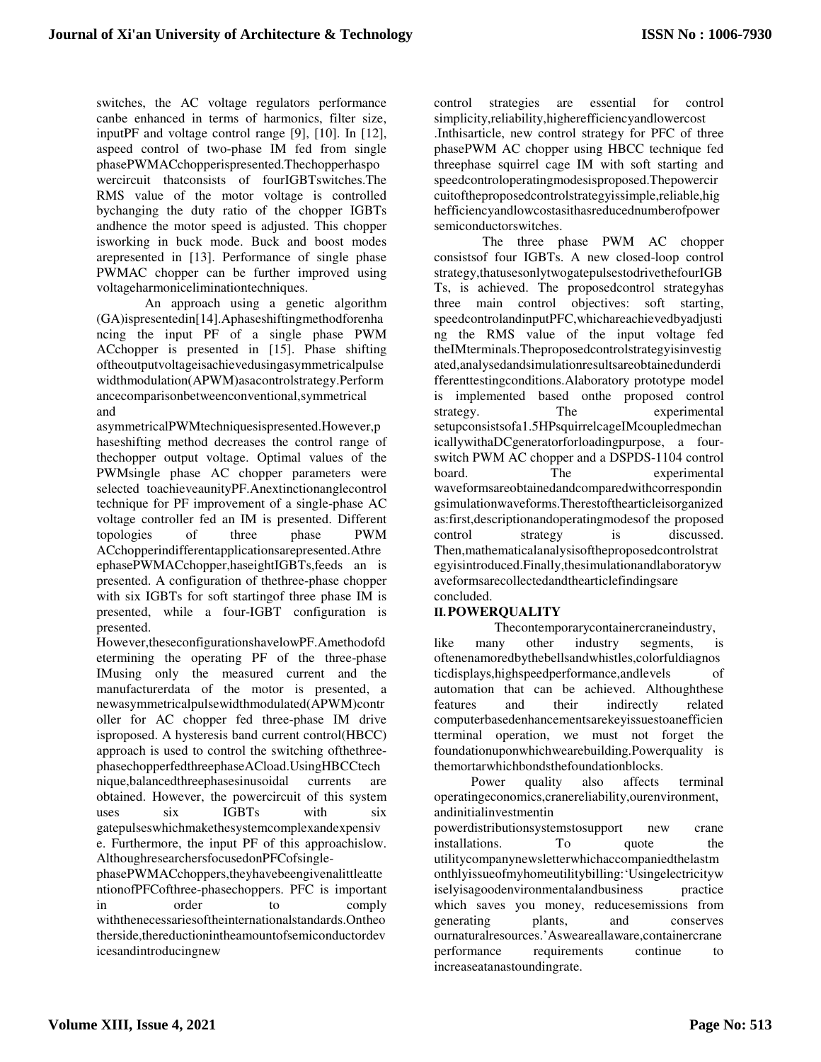switches, the AC voltage regulators performance canbe enhanced in terms of harmonics, filter size, inputPF and voltage control range [9], [10]. In [12], aspeed control of two-phase IM fed from single phasePWMACchopperispresented.Thechopperhaspo wercircuit thatconsists of fourIGBTswitches.The RMS value of the motor voltage is controlled bychanging the duty ratio of the chopper IGBTs andhence the motor speed is adjusted. This chopper isworking in buck mode. Buck and boost modes arepresented in [13]. Performance of single phase PWMAC chopper can be further improved using voltageharmoniceliminationtechniques.

An approach using a genetic algorithm (GA)ispresentedin[14].Aphaseshiftingmethodforenha ncing the input PF of a single phase PWM ACchopper is presented in [15]. Phase shifting oftheoutputvoltageisachievedusingasymmetricalpulse widthmodulation(APWM)asacontrolstrategy.Perform ancecomparisonbetweenconventional,symmetrical and

asymmetricalPWMtechniquesispresented.However,p haseshifting method decreases the control range of thechopper output voltage. Optimal values of the PWMsingle phase AC chopper parameters were selected toachieveaunityPF.Anextinctionanglecontrol technique for PF improvement of a single-phase AC voltage controller fed an IM is presented. Different topologies of three phase PWM ACchopperindifferentapplicationsarepresented.Athre ephasePWMACchopper,haseightIGBTs,feeds an is presented. A configuration of thethree-phase chopper with six IGBTs for soft startingof three phase IM is presented, while a four-IGBT configuration is presented.

However,theseconfigurationshavelowPF.Amethodofd etermining the operating PF of the three-phase IMusing only the measured current and the manufacturerdata of the motor is presented, a newasymmetricalpulsewidthmodulated(APWM)contr oller for AC chopper fed three-phase IM drive isproposed. A hysteresis band current control(HBCC) approach is used to control the switching ofthethreephasechopperfedthreephaseACload.UsingHBCCtech nique,balancedthreephasesinusoidal currents are obtained. However, the powercircuit of this system uses six IGBTs with six gatepulseswhichmakethesystemcomplexandexpensiv e. Furthermore, the input PF of this approachislow. AlthoughresearchersfocusedonPFCofsingle-

phasePWMACchoppers,theyhavebeengivenalittleatte ntionofPFCofthree-phasechoppers. PFC is important in order to comply withthenecessariesoftheinternationalstandards.Ontheo therside,thereductionintheamountofsemiconductordev icesandintroducingnew

control strategies are essential for control simplicity,reliability,higherefficiencyandlowercost .Inthisarticle, new control strategy for PFC of three phasePWM AC chopper using HBCC technique fed threephase squirrel cage IM with soft starting and speedcontroloperatingmodesisproposed.Thepowercir cuitoftheproposedcontrolstrategyissimple,reliable,hig hefficiencyandlowcostasithasreducednumberofpower semiconductorswitches.

The three phase PWM AC chopper consistsof four IGBTs. A new closed-loop control strategy,thatusesonlytwogatepulsestodrivethefourIGB Ts, is achieved. The proposedcontrol strategyhas three main control objectives: soft starting, speedcontrolandinputPFC,whichareachievedbyadjusti ng the RMS value of the input voltage fed theIMterminals.Theproposedcontrolstrategyisinvestig ated,analysedandsimulationresultsareobtainedunderdi fferenttestingconditions.Alaboratory prototype model is implemented based onthe proposed control strategy. The experimental setupconsistsofa1.5HPsquirrelcageIMcoupledmechan icallywithaDCgeneratorforloadingpurpose, a fourswitch PWM AC chopper and a DSPDS-1104 control board. The experimental waveformsareobtainedandcomparedwithcorrespondin gsimulationwaveforms.Therestofthearticleisorganized as:first,descriptionandoperatingmodesof the proposed control strategy is discussed. Then,mathematicalanalysisoftheproposedcontrolstrat egyisintroduced.Finally,thesimulationandlaboratoryw aveformsarecollectedandthearticlefindingsare concluded.

## **II.POWERQUALITY**

Thecontemporarycontainercraneindustry, like many other industry segments, is oftenenamoredbythebellsandwhistles,colorfuldiagnos ticdisplays,highspeedperformance,andlevels of automation that can be achieved. Althoughthese features and their indirectly related computerbasedenhancementsarekeyissuestoanefficien tterminal operation, we must not forget the foundationuponwhichwearebuilding.Powerquality is themortarwhichbondsthefoundationblocks.

Power quality also affects terminal operatingeconomics,cranereliability,ourenvironment, andinitialinvestmentin

powerdistributionsystemstosupport new crane installations. To quote the utilitycompanynewsletterwhichaccompaniedthelastm onthlyissueofmyhomeutilitybilling:'Usingelectricityw iselyisagoodenvironmentalandbusiness practice which saves you money, reducesemissions from generating plants, and conserves ournaturalresources.'Asweareallaware,containercrane performance requirements continue to increaseatanastoundingrate.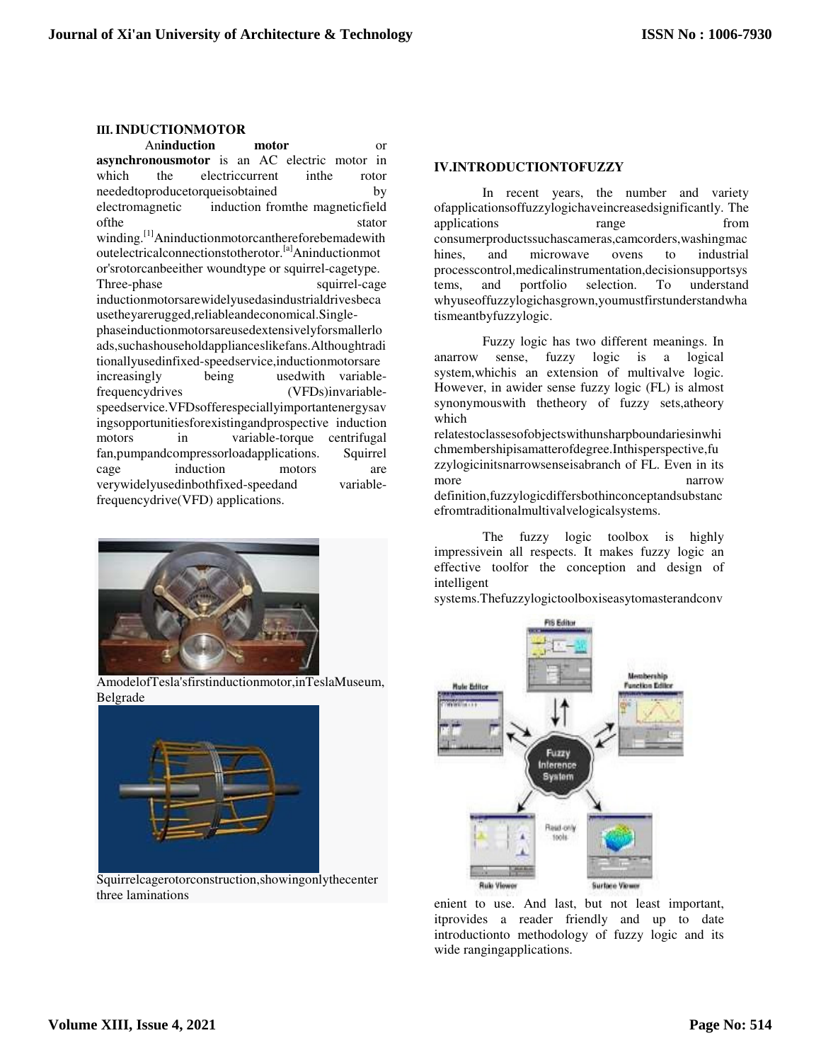#### **III.INDUCTIONMOTOR**

An**induction motor** or **asynchronousmotor** is an AC electric motor in which the electriccurrent inthe rotor neededtoproducetorqueisobtained by electromagnetic induction fromthe magneticfield of the stator stator winding.<sup>[1]</sup>Aninductionmotorcanthereforebemadewith outelectricalconnectionstotherotor.[a]Aninductionmot or'srotorcanbeeither woundtype or squirrel-cagetype. Three-phase squirrel-cage inductionmotorsarewidelyusedasindustrialdrivesbeca usetheyarerugged,reliableandeconomical.Singlephaseinductionmotorsareusedextensivelyforsmallerlo ads,suchashouseholdapplianceslikefans.Althoughtradi tionallyusedinfixed-speedservice,inductionmotorsare increasingly being usedwith variablefrequencydrives (VFDs)invariablespeedservice.VFDsofferespeciallyimportantenergysav ingsopportunitiesforexistingandprospective induction motors in variable-torque centrifugal fan,pumpandcompressorloadapplications. Squirrel cage induction motors are verywidelyusedinbothfixed-speedand variablefrequencydrive(VFD) applications.



AmodelofTesla'sfirstinductionmotor,inTeslaMuseum, Belgrade



Squirrelcagerotorconstruction,showingonlythecenter three laminations

#### **IV.INTRODUCTIONTOFUZZY**

In recent years, the number and variety ofapplicationsoffuzzylogichaveincreasedsignificantly. The applications range from consumerproductssuchascameras,camcorders,washingmac hines, and microwave ovens to industrial processcontrol,medicalinstrumentation,decisionsupportsys tems, and portfolio selection. To understand whyuseoffuzzylogichasgrown,youmustfirstunderstandwha tismeantbyfuzzylogic.

Fuzzy logic has two different meanings. In anarrow sense, fuzzy logic is a logical system,whichis an extension of multivalve logic. However, in awider sense fuzzy logic (FL) is almost synonymouswith thetheory of fuzzy sets,atheory which

relatestoclassesofobjectswithunsharpboundariesinwhi chmembershipisamatterofdegree.Inthisperspective,fu zzylogicinitsnarrowsenseisabranch of FL. Even in its more narrow definition,fuzzylogicdiffersbothinconceptandsubstanc efromtraditionalmultivalvelogicalsystems.

The fuzzy logic toolbox is highly impressivein all respects. It makes fuzzy logic an effective toolfor the conception and design of intelligent

systems.Thefuzzylogictoolboxiseasytomasterandconv



enient to use. And last, but not least important, itprovides a reader friendly and up to date introductionto methodology of fuzzy logic and its wide rangingapplications.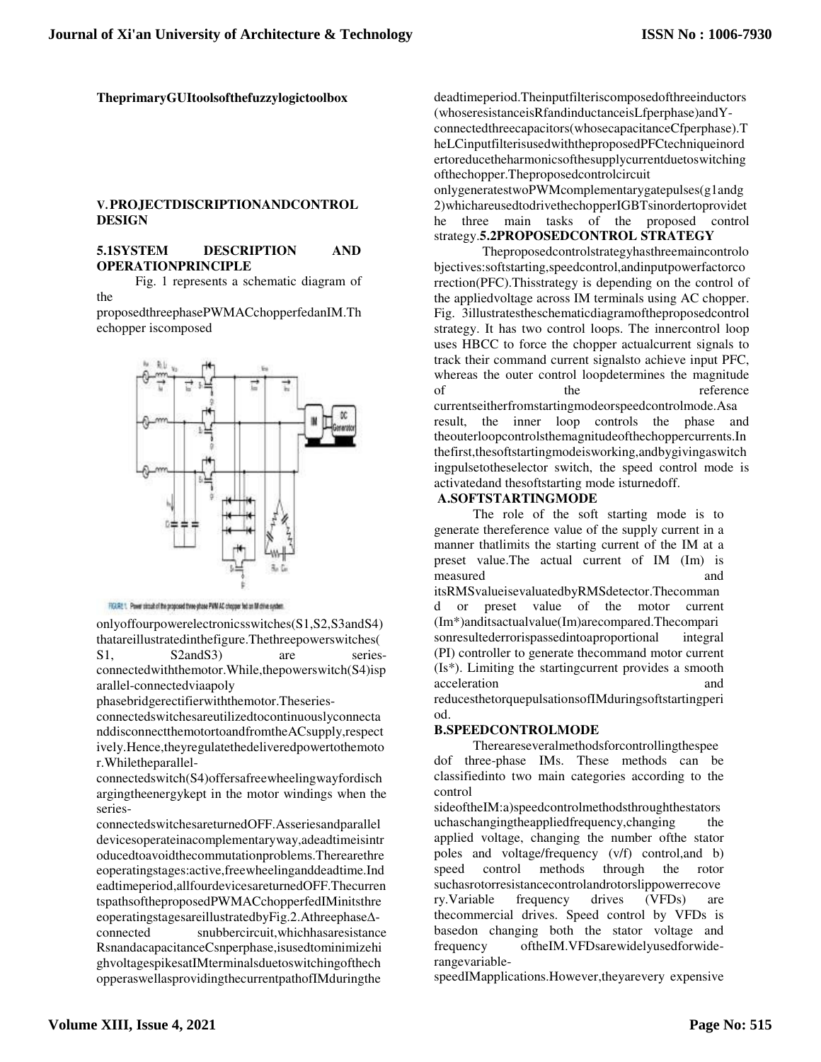**TheprimaryGUItoolsofthefuzzylogictoolbox** 

#### **V.PROJECTDISCRIPTIONANDCONTROL DESIGN**

#### **5.1SYSTEM DESCRIPTION AND OPERATIONPRINCIPLE**

Fig. 1 represents a schematic diagram of the

proposedthreephasePWMACchopperfedanIM.Th echopper iscomposed



FIGURE 1. Power streak of the proposed three-phase PWM AC chapper bet an M drive system.

onlyoffourpowerelectronicsswitches(S1,S2,S3andS4) thatareillustratedinthefigure.Thethreepowerswitches(

S1, S2andS3) are seriesconnectedwiththemotor.While,thepowerswitch(S4)isp arallel-connectedviaapoly

phasebridgerectifierwiththemotor.Theseries-

connectedswitchesareutilizedtocontinuouslyconnecta nddisconnectthemotortoandfromtheACsupply,respect ively.Hence,theyregulatethedeliveredpowertothemoto r.Whiletheparallel-

connectedswitch(S4)offersafreewheelingwayfordisch argingtheenergykept in the motor windings when the series-

connectedswitchesareturnedOFF.Asseriesandparallel devicesoperateinacomplementaryway,adeadtimeisintr oducedtoavoidthecommutationproblems.Therearethre eoperatingstages:active,freewheelinganddeadtime.Ind eadtimeperiod,allfourdevicesareturnedOFF.Thecurren tspathsoftheproposedPWMACchopperfedIMinitsthre eoperatingstagesareillustratedbyFig.2.Athreephase∆ connected snubbercircuit,whichhasaresistance RsnandacapacitanceCsnperphase,isusedtominimizehi

ghvoltagespikesatIMterminalsduetoswitchingofthech opperaswellasprovidingthecurrentpathofIMduringthe

deadtimeperiod.Theinputfilteriscomposedofthreeinductors (whoseresistanceisRfandinductanceisLfperphase)andYconnectedthreecapacitors(whosecapacitanceCfperphase).T heLCinputfilterisusedwiththeproposedPFCtechniqueinord ertoreducetheharmonicsofthesupplycurrentduetoswitching ofthechopper.Theproposedcontrolcircuit

onlygeneratestwoPWMcomplementarygatepulses(g1andg 2)whichareusedtodrivethechopperIGBTsinordertoprovidet he three main tasks of the proposed control strategy.**5.2PROPOSEDCONTROL STRATEGY** 

Theproposedcontrolstrategyhasthreemaincontrolo bjectives:softstarting,speedcontrol,andinputpowerfactorco rrection(PFC).Thisstrategy is depending on the control of the appliedvoltage across IM terminals using AC chopper. Fig. 3illustratestheschematicdiagramoftheproposedcontrol strategy. It has two control loops. The innercontrol loop uses HBCC to force the chopper actualcurrent signals to track their command current signalsto achieve input PFC, whereas the outer control loopdetermines the magnitude of the the reference currentseitherfromstartingmodeorspeedcontrolmode.Asa result, the inner loop controls the phase and theouterloopcontrolsthemagnitudeofthechoppercurrents.In thefirst,thesoftstartingmodeisworking,andbygivingaswitch ingpulsetotheselector switch, the speed control mode is activatedand thesoftstarting mode isturnedoff.

#### **A.SOFTSTARTINGMODE**

The role of the soft starting mode is to generate thereference value of the supply current in a manner thatlimits the starting current of the IM at a preset value.The actual current of IM (Im) is measured and itsRMSvalueisevaluatedbyRMSdetector.Thecomman d or preset value of the motor current (Im\*)anditsactualvalue(Im)arecompared.Thecompari sonresultederrorispassedintoaproportional integral (PI) controller to generate thecommand motor current (Is\*). Limiting the startingcurrent provides a smooth acceleration and reducesthetorquepulsationsofIMduringsoftstartingperi

#### **B.SPEEDCONTROLMODE**

od.

Thereareseveralmethodsforcontrollingthespee dof three-phase IMs. These methods can be classifiedinto two main categories according to the control

sideoftheIM:a)speedcontrolmethodsthroughthestators uchaschangingtheappliedfrequency,changing the applied voltage, changing the number ofthe stator poles and voltage/frequency (v/f) control,and b) speed control methods through the rotor suchasrotorresistancecontrolandrotorslippowerrecove ry.Variable frequency drives (VFDs) are thecommercial drives. Speed control by VFDs is basedon changing both the stator voltage and frequency oftheIM.VFDsarewidelyusedforwiderangevariable-

speedIMapplications.However,theyarevery expensive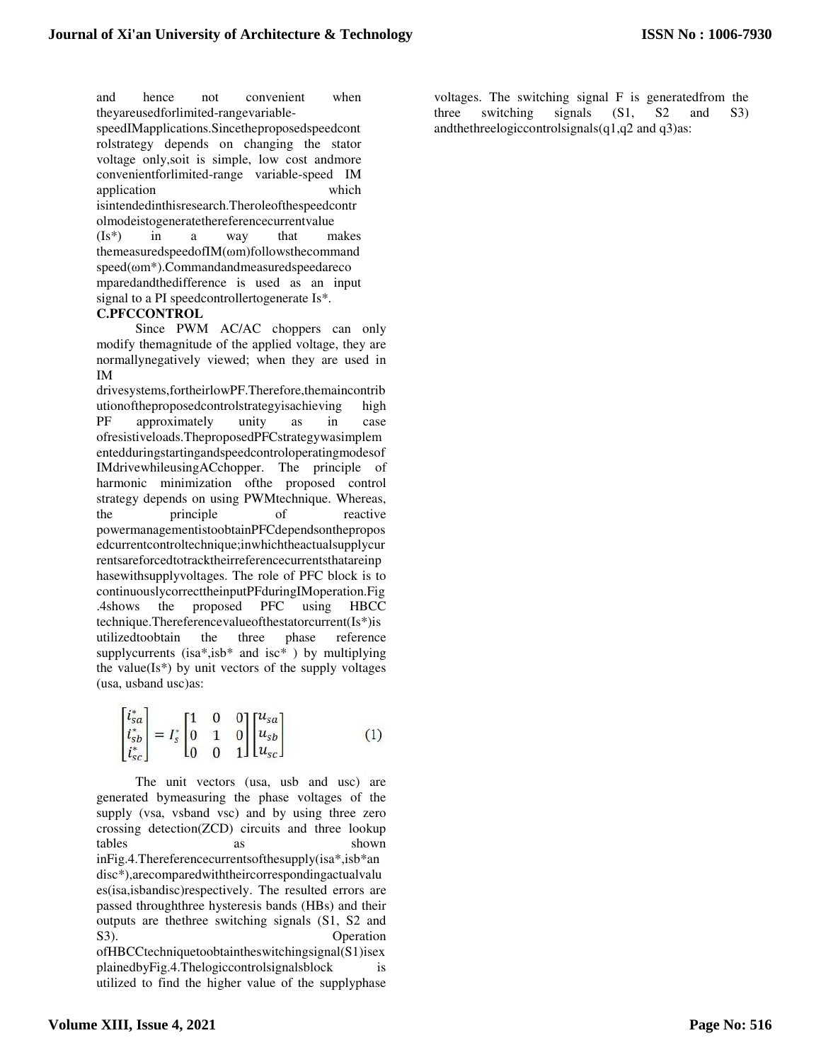and hence not convenient when theyareusedforlimited-rangevariable-

speedIMapplications.Sincetheproposedspeedcont rolstrategy depends on changing the stator voltage only,soit is simple, low cost andmore convenientforlimited-range variable-speed IM application which isintendedinthisresearch.Theroleofthespeedcontr olmodeistogeneratethereferencecurrentvalue (Is\*) in a way that makes themeasuredspeedofIM(ωm)followsthecommand speed(ωm\*).Commandandmeasuredspeedareco mparedandthedifference is used as an input

signal to a PI speedcontrollertogenerate Is\*.

#### **C.PFCCONTROL**

Since PWM AC/AC choppers can only modify themagnitude of the applied voltage, they are normallynegatively viewed; when they are used in IM

drivesystems,fortheirlowPF.Therefore,themaincontrib utionoftheproposedcontrolstrategyisachieving high PF approximately unity as in case ofresistiveloads.TheproposedPFCstrategywasimplem entedduringstartingandspeedcontroloperatingmodesof IMdrivewhileusingACchopper. The principle of harmonic minimization ofthe proposed control strategy depends on using PWMtechnique. Whereas, the principle of reactive powermanagementistoobtainPFCdependsonthepropos edcurrentcontroltechnique;inwhichtheactualsupplycur rentsareforcedtotracktheirreferencecurrentsthatareinp hasewithsupplyvoltages. The role of PFC block is to continuouslycorrecttheinputPFduringIMoperation.Fig .4shows the proposed PFC using HBCC technique.Thereferencevalueofthestatorcurrent(Is\*)is utilizedtoobtain the three phase reference supplycurrents (isa\*,isb\* and isc\* ) by multiplying the value( $Is^*$ ) by unit vectors of the supply voltages (usa, usband usc)as:

$$
\begin{bmatrix} i_{sa}^* \\ i_{sb}^* \\ i_{sc}^* \end{bmatrix} = I_s^* \begin{bmatrix} 1 & 0 & 0 \\ 0 & 1 & 0 \\ 0 & 0 & 1 \end{bmatrix} \begin{bmatrix} u_{sa} \\ u_{sb} \\ u_{sc} \end{bmatrix}
$$
 (1)

The unit vectors (usa, usb and usc) are generated bymeasuring the phase voltages of the supply (vsa, vsband vsc) and by using three zero crossing detection(ZCD) circuits and three lookup tables as shown inFig.4.Thereferencecurrentsofthesupply(isa\*,isb\*an disc\*),arecomparedwiththeircorrespondingactualvalu es(isa,isbandisc)respectively. The resulted errors are passed throughthree hysteresis bands (HBs) and their outputs are thethree switching signals (S1, S2 and S3). Operation ofHBCCtechniquetoobtaintheswitchingsignal(S1)isex plainedbyFig.4.Thelogiccontrolsignalsblock is utilized to find the higher value of the supplyphase

voltages. The switching signal F is generatedfrom the three switching signals (S1, S2 and S3) andthethreelogiccontrolsignals(q1,q2 and q3)as: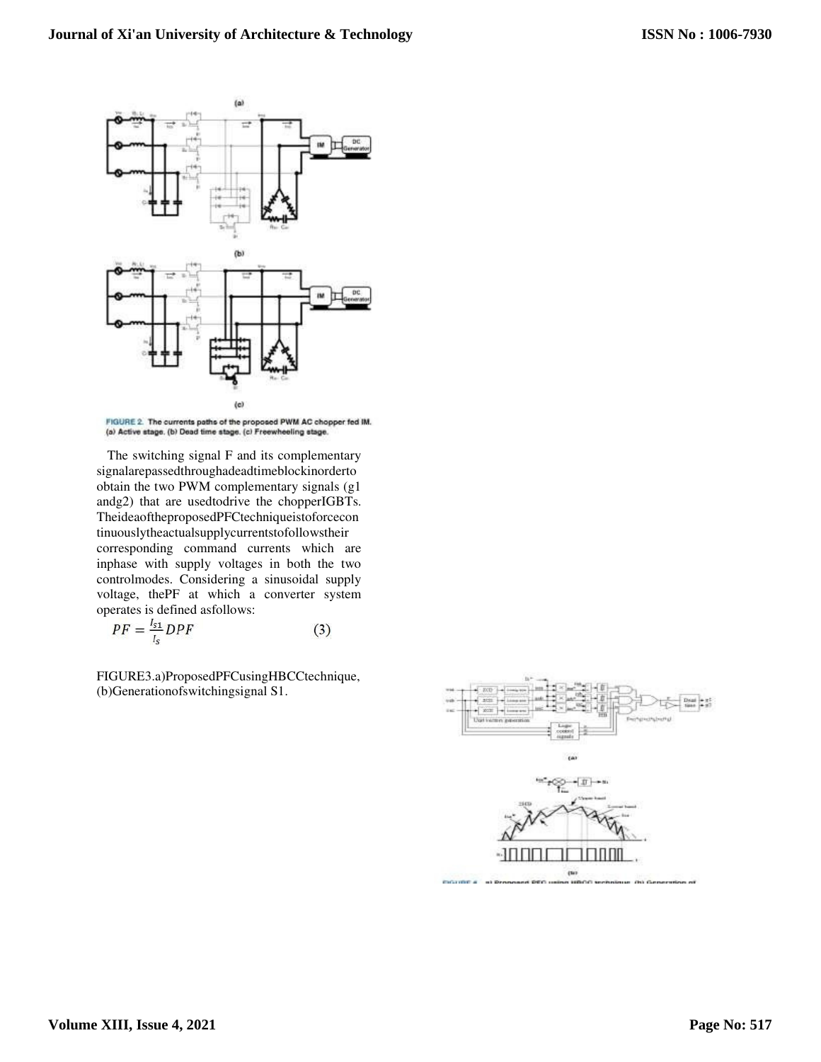

FIGURE 2. The currents paths of the proposed PWM AC chopper fed IM. (a) Active stage. (b) Dead time stage. (c) Freewheeling stage.

The switching signal F and its complementary signalarepassedthroughadeadtimeblockinorderto obtain the two PWM complementary signals (g1 andg2) that are usedtodrive the chopperIGBTs. TheideaoftheproposedPFCtechniqueistoforcecon tinuouslytheactualsupplycurrentstofollowstheir corresponding command currents which are inphase with supply voltages in both the two controlmodes. Considering a sinusoidal supply voltage, thePF at which a converter system operates is defined asfollows:

$$
PF = \frac{l_{s1}}{l_s} DPF \tag{3}
$$

FIGURE3.a)ProposedPFCusingHBCCtechnique, (b)Generationofswitchingsignal S1.

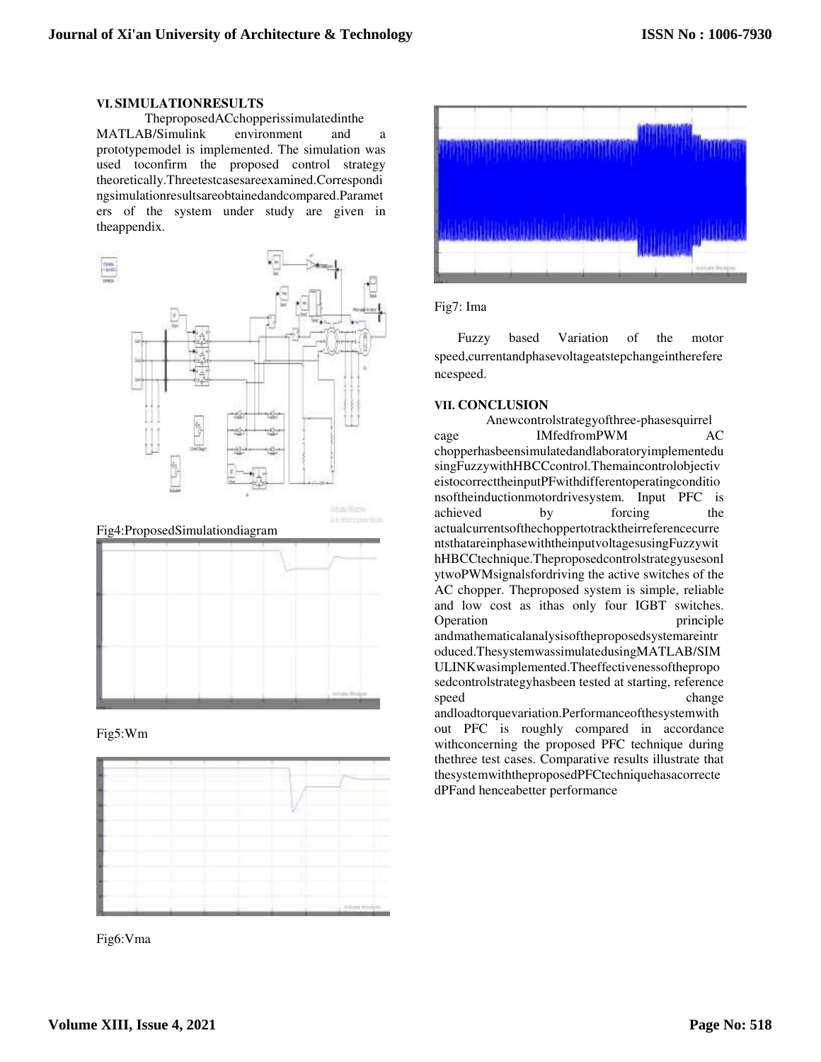#### **VI. SIMULATIONRESULTS**

TheproposedACchopperissimulatedinthe MATLAB/Simulink environment and a prototypemodel is implemented. The simulation was used toconfirm the proposed control strategy theoretically.Threetestcasesareexamined.Correspondi ngsimulationresultsareobtainedandcompared.Paramet ers of the system under study are given in theappendix.



Fig4:ProposedSimulationdiagram







Fig6:Vma



#### Fig7: Ima

Fuzzy based Variation of the motor speed,currentandphasevoltageatstepchangeintherefere ncespeed.

#### **VII. CONCLUSION**

Anewcontrolstrategyofthree-phasesquirrel cage IMfedfromPWM AC chopperhasbeensimulatedandlaboratoryimplementedu singFuzzywithHBCCcontrol.Themaincontrolobjectiv eistocorrecttheinputPFwithdifferentoperatingconditio nsoftheinductionmotordrivesystem. Input PFC is achieved by forcing the actualcurrentsofthechoppertotracktheirreferencecurre ntsthatareinphasewiththeinputvoltagesusingFuzzywit hHBCCtechnique.Theproposedcontrolstrategyusesonl ytwoPWMsignalsfordriving the active switches of the AC chopper. Theproposed system is simple, reliable and low cost as ithas only four IGBT switches. Operation principle andmathematicalanalysisoftheproposedsystemareintr oduced.ThesystemwassimulatedusingMATLAB/SIM ULINKwasimplemented.Theeffectivenessofthepropo sedcontrolstrategyhasbeen tested at starting, reference speed change andloadtorquevariation.Performanceofthesystemwith out PFC is roughly compared in accordance

withconcerning the proposed PFC technique during thethree test cases. Comparative results illustrate that thesystemwiththeproposedPFCtechniquehasacorrecte dPFand henceabetter performance